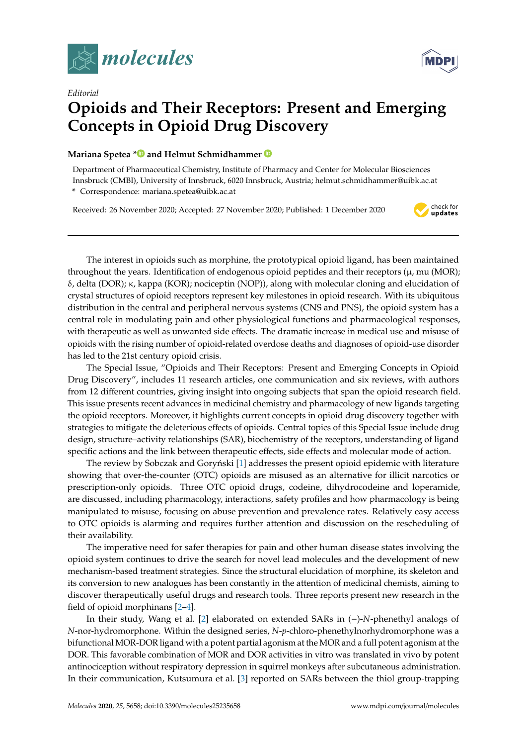



## *Editorial* **Opioids and Their Receptors: Present and Emerging Concepts in Opioid Drug Discovery**

## **Mariana Spetea [\\*](https://orcid.org/0000-0002-2379-5358) and Helmut Schmidhammer**

Department of Pharmaceutical Chemistry, Institute of Pharmacy and Center for Molecular Biosciences Innsbruck (CMBI), University of Innsbruck, 6020 Innsbruck, Austria; helmut.schmidhammer@uibk.ac.at

**\*** Correspondence: mariana.spetea@uibk.ac.at

Received: 26 November 2020; Accepted: 27 November 2020; Published: 1 December 2020



**MDPI** 

The interest in opioids such as morphine, the prototypical opioid ligand, has been maintained throughout the years. Identification of endogenous opioid peptides and their receptors  $(\mu, mu \text{ (MOR)}$ ; δ, delta (DOR); κ, kappa (KOR); nociceptin (NOP)), along with molecular cloning and elucidation of crystal structures of opioid receptors represent key milestones in opioid research. With its ubiquitous distribution in the central and peripheral nervous systems (CNS and PNS), the opioid system has a central role in modulating pain and other physiological functions and pharmacological responses, with therapeutic as well as unwanted side effects. The dramatic increase in medical use and misuse of opioids with the rising number of opioid-related overdose deaths and diagnoses of opioid-use disorder has led to the 21st century opioid crisis.

The Special Issue, "Opioids and Their Receptors: Present and Emerging Concepts in Opioid Drug Discovery", includes 11 research articles, one communication and six reviews, with authors from 12 different countries, giving insight into ongoing subjects that span the opioid research field. This issue presents recent advances in medicinal chemistry and pharmacology of new ligands targeting the opioid receptors. Moreover, it highlights current concepts in opioid drug discovery together with strategies to mitigate the deleterious effects of opioids. Central topics of this Special Issue include drug design, structure–activity relationships (SAR), biochemistry of the receptors, understanding of ligand specific actions and the link between therapeutic effects, side effects and molecular mode of action.

The review by Sobczak and Goryński [\[1\]](#page-3-0) addresses the present opioid epidemic with literature showing that over-the-counter (OTC) opioids are misused as an alternative for illicit narcotics or prescription-only opioids. Three OTC opioid drugs, codeine, dihydrocodeine and loperamide, are discussed, including pharmacology, interactions, safety profiles and how pharmacology is being manipulated to misuse, focusing on abuse prevention and prevalence rates. Relatively easy access to OTC opioids is alarming and requires further attention and discussion on the rescheduling of their availability.

The imperative need for safer therapies for pain and other human disease states involving the opioid system continues to drive the search for novel lead molecules and the development of new mechanism-based treatment strategies. Since the structural elucidation of morphine, its skeleton and its conversion to new analogues has been constantly in the attention of medicinal chemists, aiming to discover therapeutically useful drugs and research tools. Three reports present new research in the field of opioid morphinans [\[2–](#page-3-1)[4\]](#page-3-2).

In their study, Wang et al. [\[2\]](#page-3-1) elaborated on extended SARs in (−)-*N*-phenethyl analogs of *N*-nor-hydromorphone. Within the designed series, *N*-*p*-chloro-phenethylnorhydromorphone was a bifunctional MOR-DOR ligand with a potent partial agonism at the MOR and a full potent agonism at the DOR. This favorable combination of MOR and DOR activities in vitro was translated in vivo by potent antinociception without respiratory depression in squirrel monkeys after subcutaneous administration. In their communication, Kutsumura et al. [\[3\]](#page-3-3) reported on SARs between the thiol group-trapping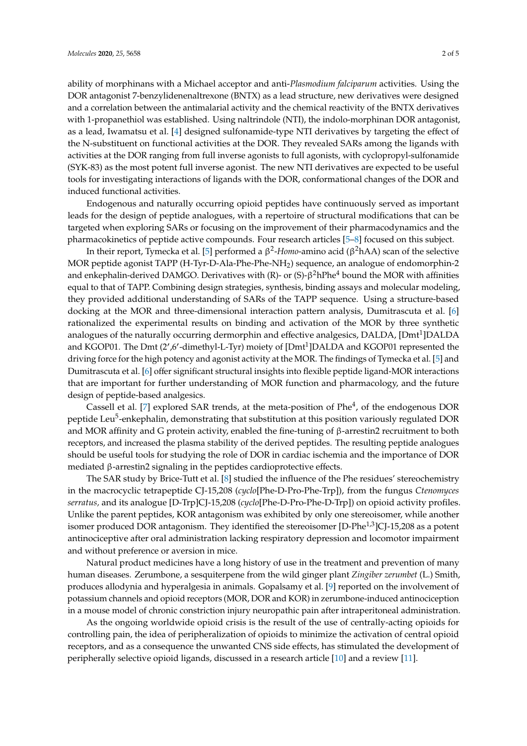ability of morphinans with a Michael acceptor and anti-*Plasmodium falciparum* activities. Using the DOR antagonist 7-benzylidenenaltrexone (BNTX) as a lead structure, new derivatives were designed and a correlation between the antimalarial activity and the chemical reactivity of the BNTX derivatives with 1-propanethiol was established. Using naltrindole (NTI), the indolo-morphinan DOR antagonist, as a lead, Iwamatsu et al. [\[4\]](#page-3-2) designed sulfonamide-type NTI derivatives by targeting the effect of the N-substituent on functional activities at the DOR. They revealed SARs among the ligands with activities at the DOR ranging from full inverse agonists to full agonists, with cyclopropyl-sulfonamide (SYK-83) as the most potent full inverse agonist. The new NTI derivatives are expected to be useful tools for investigating interactions of ligands with the DOR, conformational changes of the DOR and induced functional activities.

Endogenous and naturally occurring opioid peptides have continuously served as important leads for the design of peptide analogues, with a repertoire of structural modifications that can be targeted when exploring SARs or focusing on the improvement of their pharmacodynamics and the pharmacokinetics of peptide active compounds. Four research articles [\[5–](#page-3-4)[8\]](#page-3-5) focused on this subject.

In their report, Tymecka et al. [\[5\]](#page-3-4) performed a β 2 -*Homo*-amino acid (β <sup>2</sup>hAA) scan of the selective MOR peptide agonist TAPP (H-Tyr-D-Ala-Phe-Phe-NH2) sequence, an analogue of endomorphin-2 and enkephalin-derived DAMGO. Derivatives with (R)- or (S)- $\beta^2$ hPhe $^4$  bound the MOR with affinities equal to that of TAPP. Combining design strategies, synthesis, binding assays and molecular modeling, they provided additional understanding of SARs of the TAPP sequence. Using a structure-based docking at the MOR and three-dimensional interaction pattern analysis, Dumitrascuta et al. [\[6\]](#page-3-6) rationalized the experimental results on binding and activation of the MOR by three synthetic analogues of the naturally occurring dermorphin and effective analgesics, DALDA, [Dmt $^1$ ]DALDA and KGOP01. The Dmt (2',6'-dimethyl-L-Tyr) moiety of [Dmt<sup>1</sup>]DALDA and KGOP01 represented the driving force for the high potency and agonist activity at the MOR. The findings of Tymecka et al. [\[5\]](#page-3-4) and Dumitrascuta et al. [\[6\]](#page-3-6) offer significant structural insights into flexible peptide ligand-MOR interactions that are important for further understanding of MOR function and pharmacology, and the future design of peptide-based analgesics.

Cassell et al. [\[7\]](#page-3-7) explored SAR trends, at the meta-position of Phe<sup>4</sup>, of the endogenous DOR peptide Leu<sup>5</sup>-enkephalin, demonstrating that substitution at this position variously regulated DOR and MOR affinity and G protein activity, enabled the fine-tuning of  $\beta$ -arrestin2 recruitment to both receptors, and increased the plasma stability of the derived peptides. The resulting peptide analogues should be useful tools for studying the role of DOR in cardiac ischemia and the importance of DOR mediated β-arrestin2 signaling in the peptides cardioprotective effects.

The SAR study by Brice-Tutt et al. [\[8\]](#page-3-5) studied the influence of the Phe residues' stereochemistry in the macrocyclic tetrapeptide CJ-15,208 (*cyclo*[Phe-D-Pro-Phe-Trp]), from the fungus *Ctenomyces serratus,* and its analogue [D-Trp]CJ-15,208 (*cyclo*[Phe-D-Pro-Phe-D-Trp]) on opioid activity profiles. Unlike the parent peptides, KOR antagonism was exhibited by only one stereoisomer, while another isomer produced DOR antagonism. They identified the stereoisomer [D-Phe<sup>1,3</sup>]CJ-15,208 as a potent antinociceptive after oral administration lacking respiratory depression and locomotor impairment and without preference or aversion in mice.

Natural product medicines have a long history of use in the treatment and prevention of many human diseases. Zerumbone, a sesquiterpene from the wild ginger plant *Zingiber zerumbet* (L.) Smith, produces allodynia and hyperalgesia in animals. Gopalsamy et al. [\[9\]](#page-4-0) reported on the involvement of potassium channels and opioid receptors (MOR, DOR and KOR) in zerumbone-induced antinociception in a mouse model of chronic constriction injury neuropathic pain after intraperitoneal administration.

As the ongoing worldwide opioid crisis is the result of the use of centrally-acting opioids for controlling pain, the idea of peripheralization of opioids to minimize the activation of central opioid receptors, and as a consequence the unwanted CNS side effects, has stimulated the development of peripherally selective opioid ligands, discussed in a research article [\[10\]](#page-4-1) and a review [\[11\]](#page-4-2).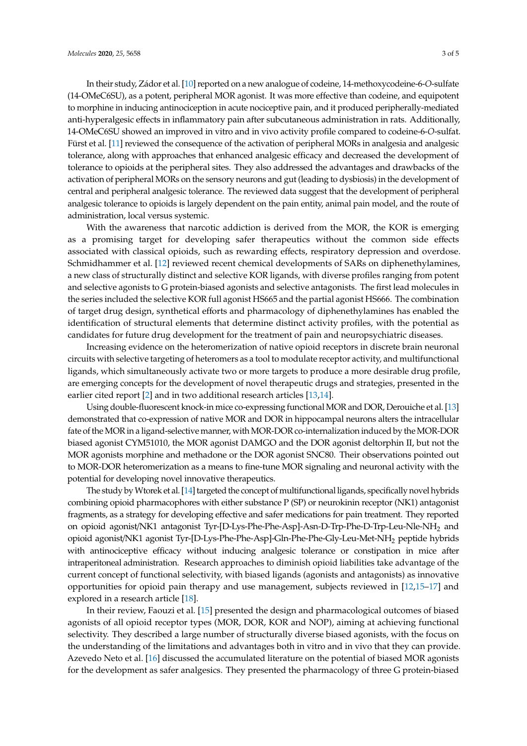In their study, Zádor et al. [\[10\]](#page-4-1) reported on a new analogue of codeine, 14-methoxycodeine-6-*O*-sulfate (14-OMeC6SU), as a potent, peripheral MOR agonist. It was more effective than codeine, and equipotent to morphine in inducing antinociception in acute nociceptive pain, and it produced peripherally-mediated anti-hyperalgesic effects in inflammatory pain after subcutaneous administration in rats. Additionally, 14-OMeC6SU showed an improved in vitro and in vivo activity profile compared to codeine-6-*O*-sulfat. Fürst et al. [\[11\]](#page-4-2) reviewed the consequence of the activation of peripheral MORs in analgesia and analgesic tolerance, along with approaches that enhanced analgesic efficacy and decreased the development of tolerance to opioids at the peripheral sites. They also addressed the advantages and drawbacks of the activation of peripheral MORs on the sensory neurons and gut (leading to dysbiosis) in the development of central and peripheral analgesic tolerance. The reviewed data suggest that the development of peripheral analgesic tolerance to opioids is largely dependent on the pain entity, animal pain model, and the route of administration, local versus systemic.

With the awareness that narcotic addiction is derived from the MOR, the KOR is emerging as a promising target for developing safer therapeutics without the common side effects associated with classical opioids, such as rewarding effects, respiratory depression and overdose. Schmidhammer et al. [\[12\]](#page-4-3) reviewed recent chemical developments of SARs on diphenethylamines, a new class of structurally distinct and selective KOR ligands, with diverse profiles ranging from potent and selective agonists to G protein-biased agonists and selective antagonists. The first lead molecules in the series included the selective KOR full agonist HS665 and the partial agonist HS666. The combination of target drug design, synthetical efforts and pharmacology of diphenethylamines has enabled the identification of structural elements that determine distinct activity profiles, with the potential as candidates for future drug development for the treatment of pain and neuropsychiatric diseases.

Increasing evidence on the heteromerization of native opioid receptors in discrete brain neuronal circuits with selective targeting of heteromers as a tool to modulate receptor activity, and multifunctional ligands, which simultaneously activate two or more targets to produce a more desirable drug profile, are emerging concepts for the development of novel therapeutic drugs and strategies, presented in the earlier cited report [\[2\]](#page-3-1) and in two additional research articles [\[13](#page-4-4)[,14\]](#page-4-5).

Using double-fluorescent knock-in mice co-expressing functional MOR and DOR, Derouiche et al. [\[13\]](#page-4-4) demonstrated that co-expression of native MOR and DOR in hippocampal neurons alters the intracellular fate of the MOR in a ligand-selective manner, with MOR-DOR co-internalization induced by the MOR-DOR biased agonist CYM51010, the MOR agonist DAMGO and the DOR agonist deltorphin II, but not the MOR agonists morphine and methadone or the DOR agonist SNC80. Their observations pointed out to MOR-DOR heteromerization as a means to fine-tune MOR signaling and neuronal activity with the potential for developing novel innovative therapeutics.

The study byWtorek et al. [\[14\]](#page-4-5) targeted the concept of multifunctional ligands, specifically novel hybrids combining opioid pharmacophores with either substance P (SP) or neurokinin receptor (NK1) antagonist fragments, as a strategy for developing effective and safer medications for pain treatment. They reported on opioid agonist/NK1 antagonist Tyr-[D-Lys-Phe-Phe-Asp]-Asn-D-Trp-Phe-D-Trp-Leu-Nle-NH<sup>2</sup> and opioid agonist/NK1 agonist Tyr-[D-Lys-Phe-Phe-Asp]-Gln-Phe-Phe-Gly-Leu-Met-NH<sup>2</sup> peptide hybrids with antinociceptive efficacy without inducing analgesic tolerance or constipation in mice after intraperitoneal administration. Research approaches to diminish opioid liabilities take advantage of the current concept of functional selectivity, with biased ligands (agonists and antagonists) as innovative opportunities for opioid pain therapy and use management, subjects reviewed in [\[12,](#page-4-3)[15–](#page-4-6)[17\]](#page-4-7) and explored in a research article [\[18\]](#page-4-8).

In their review, Faouzi et al. [\[15\]](#page-4-6) presented the design and pharmacological outcomes of biased agonists of all opioid receptor types (MOR, DOR, KOR and NOP), aiming at achieving functional selectivity. They described a large number of structurally diverse biased agonists, with the focus on the understanding of the limitations and advantages both in vitro and in vivo that they can provide. Azevedo Neto et al. [\[16\]](#page-4-9) discussed the accumulated literature on the potential of biased MOR agonists for the development as safer analgesics. They presented the pharmacology of three G protein-biased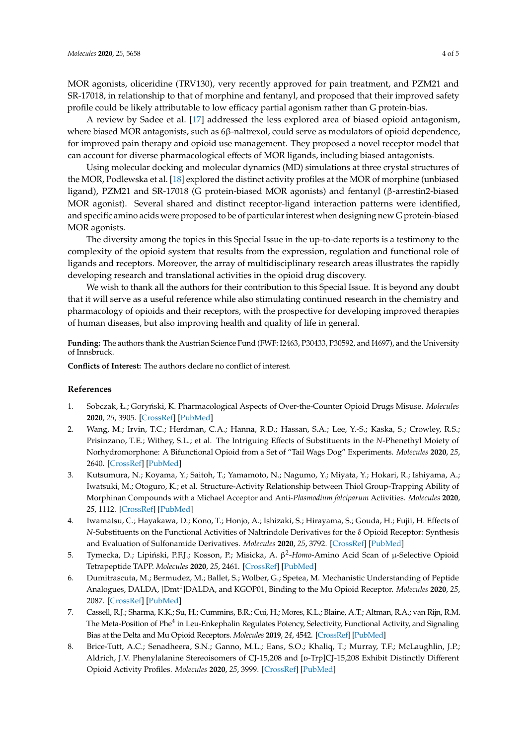MOR agonists, oliceridine (TRV130), very recently approved for pain treatment, and PZM21 and SR-17018, in relationship to that of morphine and fentanyl, and proposed that their improved safety profile could be likely attributable to low efficacy partial agonism rather than G protein-bias.

A review by Sadee et al. [\[17\]](#page-4-7) addressed the less explored area of biased opioid antagonism, where biased MOR antagonists, such as 6β-naltrexol, could serve as modulators of opioid dependence, for improved pain therapy and opioid use management. They proposed a novel receptor model that can account for diverse pharmacological effects of MOR ligands, including biased antagonists.

Using molecular docking and molecular dynamics (MD) simulations at three crystal structures of the MOR, Podlewska et al. [\[18\]](#page-4-8) explored the distinct activity profiles at the MOR of morphine (unbiased ligand), PZM21 and SR-17018 (G protein-biased MOR agonists) and fentanyl (β-arrestin2-biased MOR agonist). Several shared and distinct receptor-ligand interaction patterns were identified, and specific amino acids were proposed to be of particular interest when designing new G protein-biased MOR agonists.

The diversity among the topics in this Special Issue in the up-to-date reports is a testimony to the complexity of the opioid system that results from the expression, regulation and functional role of ligands and receptors. Moreover, the array of multidisciplinary research areas illustrates the rapidly developing research and translational activities in the opioid drug discovery.

We wish to thank all the authors for their contribution to this Special Issue. It is beyond any doubt that it will serve as a useful reference while also stimulating continued research in the chemistry and pharmacology of opioids and their receptors, with the prospective for developing improved therapies of human diseases, but also improving health and quality of life in general.

**Funding:** The authors thank the Austrian Science Fund (FWF: I2463, P30433, P30592, and I4697), and the University of Innsbruck.

**Conflicts of Interest:** The authors declare no conflict of interest.

## **References**

- <span id="page-3-0"></span>1. Sobczak, Ł.; Goryński, K. Pharmacological Aspects of Over-the-Counter Opioid Drugs Misuse. *Molecules* **2020**, *25*, 3905. [\[CrossRef\]](http://dx.doi.org/10.3390/molecules25173905) [\[PubMed\]](http://www.ncbi.nlm.nih.gov/pubmed/32867117)
- <span id="page-3-1"></span>2. Wang, M.; Irvin, T.C.; Herdman, C.A.; Hanna, R.D.; Hassan, S.A.; Lee, Y.-S.; Kaska, S.; Crowley, R.S.; Prisinzano, T.E.; Withey, S.L.; et al. The Intriguing Effects of Substituents in the *N*-Phenethyl Moiety of Norhydromorphone: A Bifunctional Opioid from a Set of "Tail Wags Dog" Experiments. *Molecules* **2020**, *25*, 2640. [\[CrossRef\]](http://dx.doi.org/10.3390/molecules25112640) [\[PubMed\]](http://www.ncbi.nlm.nih.gov/pubmed/32517185)
- <span id="page-3-3"></span>3. Kutsumura, N.; Koyama, Y.; Saitoh, T.; Yamamoto, N.; Nagumo, Y.; Miyata, Y.; Hokari, R.; Ishiyama, A.; Iwatsuki, M.; Otoguro, K.; et al. Structure-Activity Relationship between Thiol Group-Trapping Ability of Morphinan Compounds with a Michael Acceptor and Anti-*Plasmodium falciparum* Activities. *Molecules* **2020**, *25*, 1112. [\[CrossRef\]](http://dx.doi.org/10.3390/molecules25051112) [\[PubMed\]](http://www.ncbi.nlm.nih.gov/pubmed/32131542)
- <span id="page-3-2"></span>4. Iwamatsu, C.; Hayakawa, D.; Kono, T.; Honjo, A.; Ishizaki, S.; Hirayama, S.; Gouda, H.; Fujii, H. Effects of *N*-Substituents on the Functional Activities of Naltrindole Derivatives for the δ Opioid Receptor: Synthesis and Evaluation of Sulfonamide Derivatives. *Molecules* **2020**, *25*, 3792. [\[CrossRef\]](http://dx.doi.org/10.3390/molecules25173792) [\[PubMed\]](http://www.ncbi.nlm.nih.gov/pubmed/32825410)
- <span id="page-3-4"></span>5. Tymecka, D.; Lipiński, P.F.J.; Kosson, P.; Misicka, A. β<sup>2</sup>-Homo-Amino Acid Scan of μ-Selective Opioid Tetrapeptide TAPP. *Molecules* **2020**, *25*, 2461. [\[CrossRef\]](http://dx.doi.org/10.3390/molecules25102461) [\[PubMed\]](http://www.ncbi.nlm.nih.gov/pubmed/32466333)
- <span id="page-3-6"></span>6. Dumitrascuta, M.; Bermudez, M.; Ballet, S.; Wolber, G.; Spetea, M. Mechanistic Understanding of Peptide Analogues, DALDA, [Dmt<sup>1</sup>]DALDA, and KGOP01, Binding to the Mu Opioid Receptor. *Molecules* 2020, 25, 2087. [\[CrossRef\]](http://dx.doi.org/10.3390/molecules25092087) [\[PubMed\]](http://www.ncbi.nlm.nih.gov/pubmed/32365707)
- <span id="page-3-7"></span>7. Cassell, R.J.; Sharma, K.K.; Su, H.; Cummins, B.R.; Cui, H.; Mores, K.L.; Blaine, A.T.; Altman, R.A.; van Rijn, R.M. The Meta-Position of Phe<sup>4</sup> in Leu-Enkephalin Regulates Potency, Selectivity, Functional Activity, and Signaling Bias at the Delta and Mu Opioid Receptors. *Molecules* **2019**, *24*, 4542. [\[CrossRef\]](http://dx.doi.org/10.3390/molecules24244542) [\[PubMed\]](http://www.ncbi.nlm.nih.gov/pubmed/31842282)
- <span id="page-3-5"></span>8. Brice-Tutt, A.C.; Senadheera, S.N.; Ganno, M.L.; Eans, S.O.; Khaliq, T.; Murray, T.F.; McLaughlin, J.P.; Aldrich, J.V. Phenylalanine Stereoisomers of CJ-15,208 and [p-Trp]CJ-15,208 Exhibit Distinctly Different Opioid Activity Profiles. *Molecules* **2020**, *25*, 3999. [\[CrossRef\]](http://dx.doi.org/10.3390/molecules25173999) [\[PubMed\]](http://www.ncbi.nlm.nih.gov/pubmed/32887303)